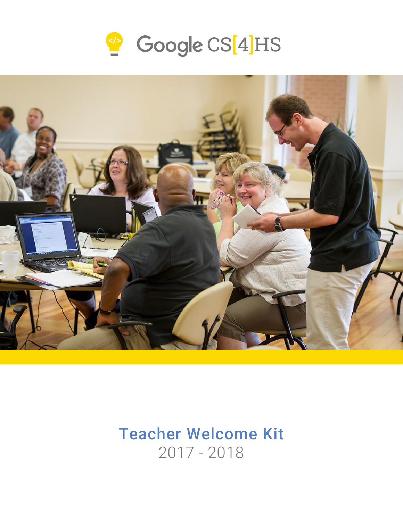



# Teacher Welcome Kit 2017 - 2018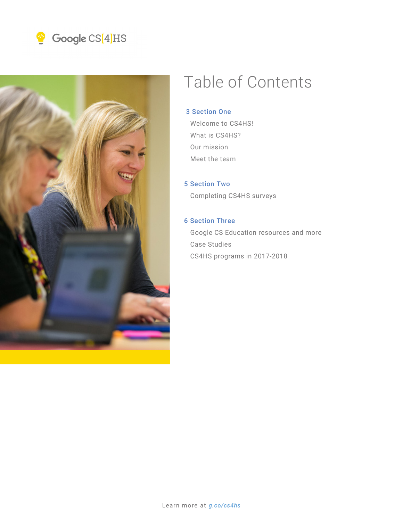



# Table of Contents

### 3 Section One

 Welcome to CS4HS! What is CS4HS? Our mission Meet the team

### 5 Section Two

Completing CS4HS surveys

### 6 Section Three

 Google CS Education resources and more Case Studies CS4HS programs in 2017-2018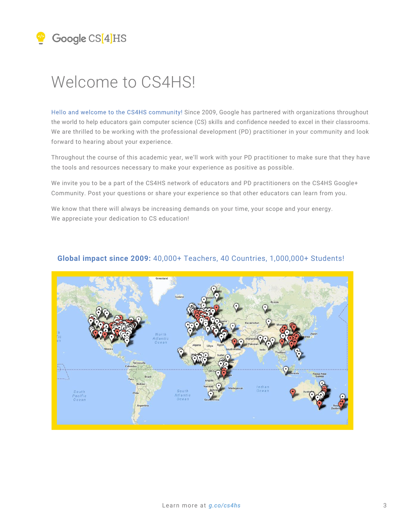# Welcome to CS4HS!

Hello and welcome to the CS4HS community! Since 2009, Google has partnered with organizations throughout the world to help educators gain computer science (CS) skills and confidence needed to excel in their classrooms. We are thrilled to be working with the professional development (PD) practitioner in your community and look forward to hearing about your experience.

Throughout the course of this academic year, we'll work with your PD practitioner to make sure that they have the tools and resources necessary to make your experience as positive as possible.

We invite you to be a part of the CS4HS network of educators and PD practitioners on the CS4HS Google+ Community. Post your questions or share your experience so that other educators can learn from you.

We know that there will always be increasing demands on your time, your scope and your energy. We appreciate your dedication to CS education!



### **Global impact since 2009:** 40,000+ Teachers, 40 Countries, 1,000,000+ Students!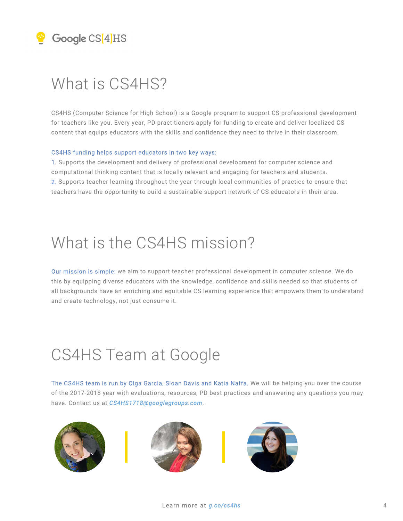# What is CS4HS?

CS4HS (Computer Science for High School) is a Google program to support CS professional development for teachers like you. Every year, PD practitioners apply for funding to create and deliver localized CS content that equips educators with the skills and confidence they need to thrive in their classroom.

#### CS4HS funding helps support educators in two key ways:

1. Supports the development and delivery of professional development for computer science and computational thinking content that is locally relevant and engaging for teachers and students. 2. Supports teacher learning throughout the year through local communities of practice to ensure that teachers have the opportunity to build a sustainable support network of CS educators in their area.

# What is the CS4HS mission?

Our mission is simple: we aim to support teacher professional development in computer science. We do this by equipping diverse educators with the knowledge, confidence and skills needed so that students of all backgrounds have an enriching and equitable CS learning experience that empowers them to understand and create technology, not just consume it.

# CS4HS Team at Google

The CS4HS team is run by Olga Garcia, Sloan Davis and Katia Naffa. We will be helping you over the course of the 2017-2018 year with evaluations, resources, PD best practices and answering any questions you may have. Contact us at *CS4HS1718@googlegroups.com*.





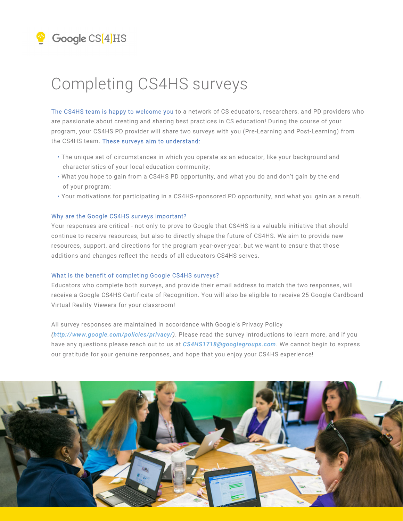# Completing CS4HS surveys

The CS4HS team is happy to welcome you to a network of CS educators, researchers, and PD providers who are passionate about creating and sharing best practices in CS education! During the course of your program, your CS4HS PD provider will share two surveys with you (Pre-Learning and Post-Learning) from the CS4HS team. These surveys aim to understand:

- The unique set of circumstances in which you operate as an educator, like your background and characteristics of your local education community;
- What you hope to gain from a CS4HS PD opportunity, and what you do and don't gain by the end of your program;
- Your motivations for participating in a CS4HS-sponsored PD opportunity, and what you gain as a result.

#### Why are the Google CS4HS surveys important?

Your responses are critical - not only to prove to Google that CS4HS is a valuable initiative that should continue to receive resources, but also to directly shape the future of CS4HS. We aim to provide new resources, support, and directions for the program year-over-year, but we want to ensure that those additions and changes reflect the needs of all educators CS4HS serves.

#### What is the benefit of completing Google CS4HS surveys?

Educators who complete both surveys, and provide their email address to match the two responses, will receive a Google CS4HS Certificate of Recognition. You will also be eligible to receive 25 Google Cardboard Virtual Reality Viewers for your classroom!

#### All survey responses are maintained in accordance with Google's Privacy Policy

*(http://www.google.com/policies/privacy/)*. Please read the survey introductions to learn more, and if you have any questions please reach out to us at *CS4HS1718@googlegroups.com*. We cannot begin to express our gratitude for your genuine responses, and hope that you enjoy your CS4HS experience!

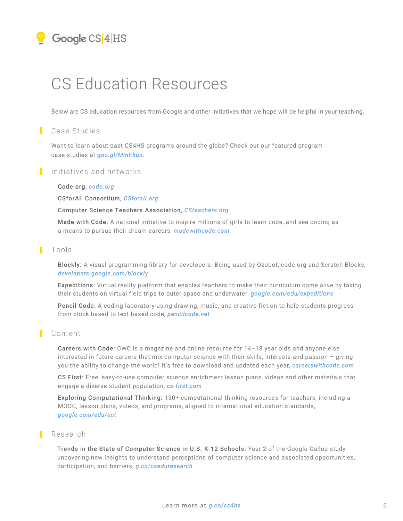# CS Education Resources

Below are CS education resources from Google and other initiatives that we hope will be helpful in your teaching.

#### П Case Studies

*https://goo.gl/Mmh5qn* case studies at *goo.gl/Mmh5qn.* Want to learn about past CS4HS programs around the globe? Check out our featured program

### Initiatives and networks

#### *https://code.org/* Code.org, *code.org*

*http://CSforall.org*  CSforAll Consortium, *CSforall.org* 

#### *http://www.csteachers.org/* Computer Science Teachers Association, *CSteachers.org*

*https://www.madewithcode.com/* a means to pursue their dream careers, *madewithcode.com* Made with Code: A national initiative to inspire millions of girls to learn code, and see coding as

### I Tools

*https://developers.google.com/blockly/ developers.google.com/blockly* Blockly: A visual programming library for developers. Being used by Ozobot, code.org and Scratch Blocks,

*https://edu.google.com/expeditions/#about* their students on virtual field trips to outer space and underwater, *google.com/edu/expeditions* Expeditions: Virtual reality platform that enables teachers to make their curriculum come alive by taking

*https://pencilcode.net/* from block based to text based code, *pencilcode.net* Pencil Code: A coding laboratory using drawing, music, and creative fiction to help students progress

### **Content**

*https://careerswithcode.com/* you the ability to change the world! It's free to download and updated each year, *careerswithcode.com* Careers with Code: CWC is a magazine and online resource for 14–18 year olds and anyone else interested in future careers that mix computer science with their skills, interests and passion – giving

*https://www.cs-first.com/en/home* engage a diverse student population, *cs-first.com* CS First: Free, easy-to-use computer science enrichment lesson plans, videos and other materials that

*https://google.com/edu/ect google.com/edu/ect* Exploring Computational Thinking: 130+ computational thinking resources for teachers, including a MOOC, lesson plans, videos, and programs, aligned to international education standards,

### Research

*https://g.co/cseduresearch* participation, and barriers, *g.co/cseduresearch* Trends in the State of Computer Science in U.S. K-12 Schools: Year 2 of the Google-Gallup study uncovering new insights to understand perceptions of computer science and associated opportunities,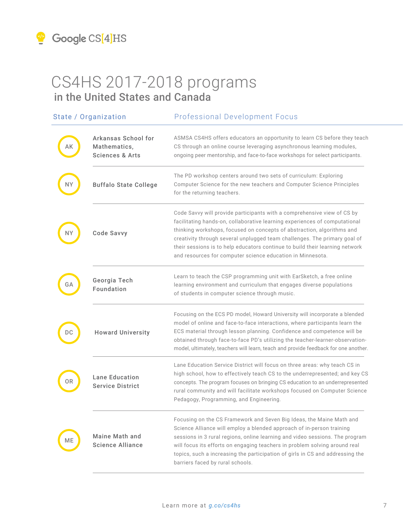|    | State / Organization                                              | <b>Professional Development Focus</b>                                                                                                                                                                                                                                                                                                                                                                                                                      |  |
|----|-------------------------------------------------------------------|------------------------------------------------------------------------------------------------------------------------------------------------------------------------------------------------------------------------------------------------------------------------------------------------------------------------------------------------------------------------------------------------------------------------------------------------------------|--|
| AK | Arkansas School for<br>Mathematics,<br><b>Sciences &amp; Arts</b> | ASMSA CS4HS offers educators an opportunity to learn CS before they teach<br>CS through an online course leveraging asynchronous learning modules,<br>ongoing peer mentorship, and face-to-face workshops for select participants.                                                                                                                                                                                                                         |  |
| NΥ | <b>Buffalo State College</b>                                      | The PD workshop centers around two sets of curriculum: Exploring<br>Computer Science for the new teachers and Computer Science Principles<br>for the returning teachers.                                                                                                                                                                                                                                                                                   |  |
| NΥ | Code Savvy                                                        | Code Savvy will provide participants with a comprehensive view of CS by<br>facilitating hands-on, collaborative learning experiences of computational<br>thinking workshops, focused on concepts of abstraction, algorithms and<br>creativity through several unplugged team challenges. The primary goal of<br>their sessions is to help educators continue to build their learning network<br>and resources for computer science education in Minnesota. |  |
| GА | Georgia Tech<br>Foundation                                        | Learn to teach the CSP programming unit with EarSketch, a free online<br>learning environment and curriculum that engages diverse populations<br>of students in computer science through music.                                                                                                                                                                                                                                                            |  |
| DC | <b>Howard University</b>                                          | Focusing on the ECS PD model, Howard University will incorporate a blended<br>model of online and face-to-face interactions, where participants learn the<br>ECS material through lesson planning. Confidence and competence will be<br>obtained through face-to-face PD's utilizing the teacher-learner-observation-<br>model, ultimately, teachers will learn, teach and provide feedback for one another.                                               |  |
| ОR | <b>Lane Education</b><br><b>Service District</b>                  | Lane Education Service District will focus on three areas: why teach CS in<br>high school, how to effectively teach CS to the underrepresented; and key CS<br>concepts. The program focuses on bringing CS education to an underrepresented<br>rural community and will facilitate workshops focused on Computer Science<br>Pedagogy, Programming, and Engineering.                                                                                        |  |
| МE | Maine Math and<br><b>Science Alliance</b>                         | Focusing on the CS Framework and Seven Big Ideas, the Maine Math and<br>Science Alliance will employ a blended approach of in-person training<br>sessions in 3 rural regions, online learning and video sessions. The program<br>will focus its efforts on engaging teachers in problem solving around real<br>topics, such a increasing the participation of girls in CS and addressing the<br>barriers faced by rural schools.                           |  |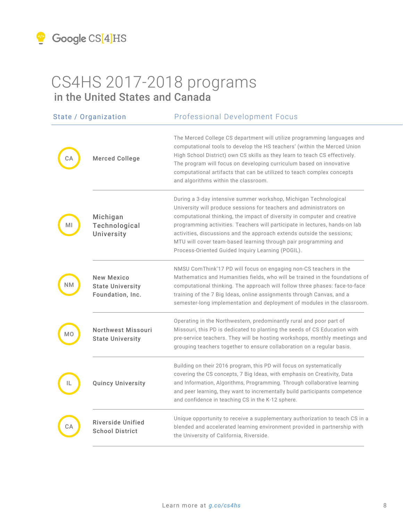

|     | State / Organization                                             | <b>Professional Development Focus</b>                                                                                                                                                                                                                                                                                                                                                                                                                                                                |  |
|-----|------------------------------------------------------------------|------------------------------------------------------------------------------------------------------------------------------------------------------------------------------------------------------------------------------------------------------------------------------------------------------------------------------------------------------------------------------------------------------------------------------------------------------------------------------------------------------|--|
|     | <b>Merced College</b>                                            | The Merced College CS department will utilize programming languages and<br>computational tools to develop the HS teachers' (within the Merced Union<br>High School District) own CS skills as they learn to teach CS effectively.<br>The program will focus on developing curriculum based on innovative<br>computational artifacts that can be utilized to teach complex concepts<br>and algorithms within the classroom.                                                                           |  |
|     | Michigan<br>Technological<br>University                          | During a 3-day intensive summer workshop, Michigan Technological<br>University will produce sessions for teachers and administrators on<br>computational thinking, the impact of diversity in computer and creative<br>programming activities. Teachers will participate in lectures, hands-on lab<br>activities, discussions and the approach extends outside the sessions;<br>MTU will cover team-based learning through pair programming and<br>Process-Oriented Guided Inquiry Learning (POGIL). |  |
| N V | <b>New Mexico</b><br><b>State University</b><br>Foundation, Inc. | NMSU ComThink'17 PD will focus on engaging non-CS teachers in the<br>Mathematics and Humanities fields, who will be trained in the foundations of<br>computational thinking. The approach will follow three phases: face-to-face<br>training of the 7 Big Ideas, online assignments through Canvas, and a<br>semester-long implementation and deployment of modules in the classroom.                                                                                                                |  |
| MО  | Northwest Missouri<br><b>State University</b>                    | Operating in the Northwestern, predominantly rural and poor part of<br>Missouri, this PD is dedicated to planting the seeds of CS Education with<br>pre-service teachers. They will be hosting workshops, monthly meetings and<br>grouping teachers together to ensure collaboration on a regular basis.                                                                                                                                                                                             |  |
|     | <b>Quincy University</b>                                         | Building on their 2016 program, this PD will focus on systematically<br>covering the CS concepts, 7 Big Ideas, with emphasis on Creativity, Data<br>and Information, Algorithms, Programming. Through collaborative learning<br>and peer learning, they want to incrementally build participants competence<br>and confidence in teaching CS in the K-12 sphere.                                                                                                                                     |  |
|     | Riverside Unified<br><b>School District</b>                      | Unique opportunity to receive a supplementary authorization to teach CS in a<br>blended and accelerated learning environment provided in partnership with<br>the University of California, Riverside.                                                                                                                                                                                                                                                                                                |  |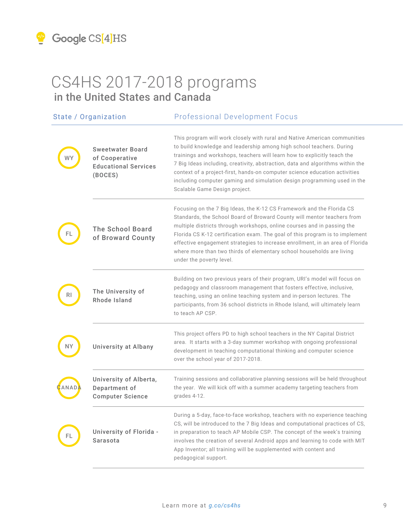

|      | State / Organization                                                                | <b>Professional Development Focus</b>                                                                                                                                                                                                                                                                                                                                                                                                                                                                     |  |
|------|-------------------------------------------------------------------------------------|-----------------------------------------------------------------------------------------------------------------------------------------------------------------------------------------------------------------------------------------------------------------------------------------------------------------------------------------------------------------------------------------------------------------------------------------------------------------------------------------------------------|--|
|      | <b>Sweetwater Board</b><br>of Cooperative<br><b>Educational Services</b><br>(BOCES) | This program will work closely with rural and Native American communities<br>to build knowledge and leadership among high school teachers. During<br>trainings and workshops, teachers will learn how to explicitly teach the<br>7 Big Ideas including, creativity, abstraction, data and algorithms within the<br>context of a project-first, hands-on computer science education activities<br>including computer gaming and simulation design programming used in the<br>Scalable Game Design project. |  |
|      | <b>The School Board</b><br>of Broward County                                        | Focusing on the 7 Big Ideas, the K-12 CS Framework and the Florida CS<br>Standards, the School Board of Broward County will mentor teachers from<br>multiple districts through workshops, online courses and in passing the<br>Florida CS K-12 certification exam. The goal of this program is to implement<br>effective engagement strategies to increase enrollment, in an area of Florida<br>where more than two thirds of elementary school households are living<br>under the poverty level.         |  |
|      | The University of<br>Rhode Island                                                   | Building on two previous years of their program, URI's model will focus on<br>pedagogy and classroom management that fosters effective, inclusive,<br>teaching, using an online teaching system and in-person lectures. The<br>participants, from 36 school districts in Rhode Island, will ultimately learn<br>to teach AP CSP.                                                                                                                                                                          |  |
| ΝY   | University at Albany                                                                | This project offers PD to high school teachers in the NY Capital District<br>area. It starts with a 3-day summer workshop with ongoing professional<br>development in teaching computational thinking and computer science<br>over the school year of 2017-2018.                                                                                                                                                                                                                                          |  |
| ANAD | University of Alberta,<br>Department of<br><b>Computer Science</b>                  | Training sessions and collaborative planning sessions will be held throughout<br>the year. We will kick off with a summer academy targeting teachers from<br>grades 4-12.                                                                                                                                                                                                                                                                                                                                 |  |
|      | University of Florida -<br>Sarasota                                                 | During a 5-day, face-to-face workshop, teachers with no experience teaching<br>CS, will be introduced to the 7 Big Ideas and computational practices of CS,<br>in preparation to teach AP Mobile CSP. The concept of the week's training<br>involves the creation of several Android apps and learning to code with MIT<br>App Inventor; all training will be supplemented with content and<br>pedagogical support.                                                                                       |  |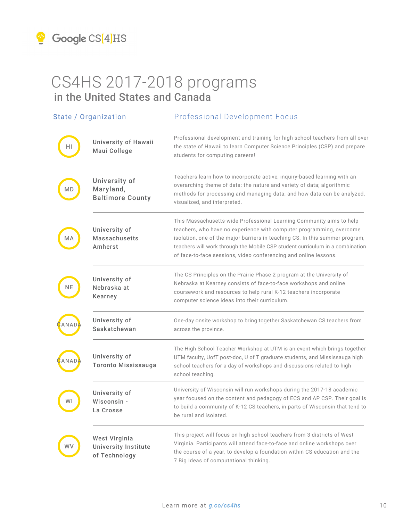| State / Organization |                                                               | <b>Professional Development Focus</b>                                                                                                                                                                                                                                                                                                                                             |  |
|----------------------|---------------------------------------------------------------|-----------------------------------------------------------------------------------------------------------------------------------------------------------------------------------------------------------------------------------------------------------------------------------------------------------------------------------------------------------------------------------|--|
|                      | University of Hawaii<br>Maui College                          | Professional development and training for high school teachers from all over<br>the state of Hawaii to learn Computer Science Principles (CSP) and prepare<br>students for computing careers!                                                                                                                                                                                     |  |
| МD                   | University of<br>Maryland,<br><b>Baltimore County</b>         | Teachers learn how to incorporate active, inquiry-based learning with an<br>overarching theme of data: the nature and variety of data; algorithmic<br>methods for processing and managing data; and how data can be analyzed,<br>visualized, and interpreted.                                                                                                                     |  |
| ΜA                   | University of<br><b>Massachusetts</b><br>Amherst              | This Massachusetts-wide Professional Learning Community aims to help<br>teachers, who have no experience with computer programming, overcome<br>isolation, one of the major barriers in teaching CS. In this summer program,<br>teachers will work through the Mobile CSP student curriculum in a combination<br>of face-to-face sessions, video conferencing and online lessons. |  |
| NΕ                   | University of<br>Nebraska at<br>Kearney                       | The CS Principles on the Prairie Phase 2 program at the University of<br>Nebraska at Kearney consists of face-to-face workshops and online<br>coursework and resources to help rural K-12 teachers incorporate<br>computer science ideas into their curriculum.                                                                                                                   |  |
|                      | University of<br>Saskatchewan                                 | One-day onsite workshop to bring together Saskatchewan CS teachers from<br>across the province.                                                                                                                                                                                                                                                                                   |  |
|                      | University of<br><b>Toronto Mississauga</b>                   | The High School Teacher Workshop at UTM is an event which brings together<br>UTM faculty, UofT post-doc, U of T graduate students, and Mississauga high<br>school teachers for a day of workshops and discussions related to high<br>school teaching.                                                                                                                             |  |
| W١                   | University of<br>Wisconsin -<br>La Crosse                     | University of Wisconsin will run workshops during the 2017-18 academic<br>year focused on the content and pedagogy of ECS and AP CSP. Their goal is<br>to build a community of K-12 CS teachers, in parts of Wisconsin that tend to<br>be rural and isolated.                                                                                                                     |  |
|                      | West Virginia<br><b>University Institute</b><br>of Technology | This project will focus on high school teachers from 3 districts of West<br>Virginia. Participants will attend face-to-face and online workshops over<br>the course of a year, to develop a foundation within CS education and the<br>7 Big Ideas of computational thinking.                                                                                                      |  |